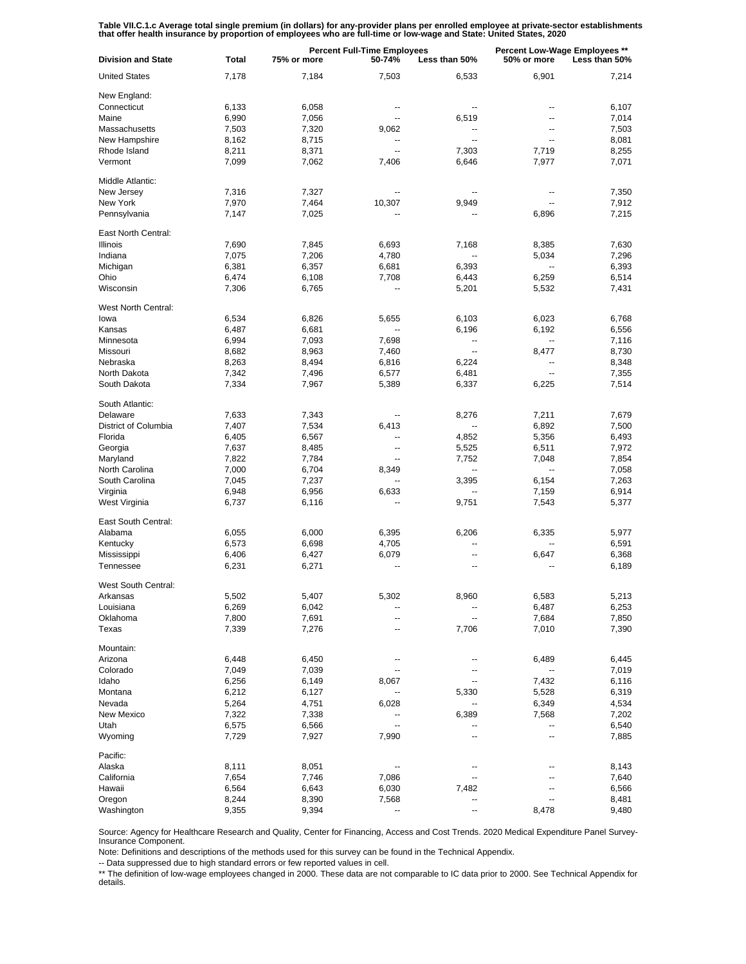Table VII.C.1.c Average total single premium (in dollars) for any-provider plans per enrolled employee at private-sector establishments<br>that offer health insurance by proportion of employees who are full-time or low-wage a

| <b>United States</b><br>6,901<br>7,178<br>7,184<br>7,503<br>6,533<br>7,214<br>New England:<br>Connecticut<br>6,133<br>6,058<br>6,107<br>$\overline{a}$<br>--<br>--<br>Maine<br>6,990<br>7,056<br>7,014<br>6,519<br>۰.<br>$\overline{a}$<br>Massachusetts<br>7,503<br>7,503<br>7,320<br>9,062<br>$\overline{a}$<br>$\overline{a}$<br>New Hampshire<br>8,715<br>8,081<br>8,162<br>۰.<br>$\overline{a}$<br>$\overline{a}$<br>Rhode Island<br>8,211<br>8,371<br>7,303<br>7,719<br>8,255<br>Ξ.<br>Vermont<br>6,646<br>7,977<br>7,071<br>7,099<br>7,062<br>7,406<br>Middle Atlantic:<br>New Jersey<br>7,350<br>7,316<br>7,327<br>--<br>New York<br>7,970<br>7,464<br>10,307<br>9,949<br>7,912<br>--<br>Pennsylvania<br>7,147<br>7,025<br>7,215<br>6,896<br>East North Central:<br>Illinois<br>7,690<br>7,845<br>6,693<br>8,385<br>7,630<br>7,168<br>Indiana<br>7,075<br>7,206<br>4,780<br>5,034<br>7,296<br>$\overline{a}$<br>Michigan<br>6,381<br>6,357<br>6,681<br>6,393<br>6,393<br>--<br>Ohio<br>6,474<br>6,108<br>7,708<br>6,443<br>6,259<br>6,514<br>Wisconsin<br>7,306<br>6,765<br>5,201<br>5,532<br>7,431<br>⊷<br>West North Central:<br>lowa<br>6,534<br>6,826<br>5,655<br>6,103<br>6,768<br>6,023<br>Kansas<br>6,487<br>6,681<br>6,556<br>6,196<br>6,192<br>Minnesota<br>6,994<br>7,093<br>7,698<br>7,116<br>$\overline{\phantom{a}}$<br>--<br>Missouri<br>8,963<br>7,460<br>8,477<br>8,730<br>8,682<br>$\overline{\phantom{a}}$<br>Nebraska<br>8,263<br>8,494<br>6,816<br>6,224<br>8,348<br>$\overline{\phantom{a}}$<br>North Dakota<br>6,577<br>6,481<br>7,355<br>7,342<br>7,496<br>Ш,<br>South Dakota<br>7,334<br>7,514<br>7,967<br>5,389<br>6,337<br>6,225<br>South Atlantic:<br>Delaware<br>7,211<br>7,679<br>7,633<br>7,343<br>8,276<br>District of Columbia<br>7,534<br>6,892<br>7,500<br>7,407<br>6,413<br>--<br>Florida<br>6,567<br>6,493<br>6,405<br>4,852<br>5,356<br>Georgia<br>8,485<br>6,511<br>7,972<br>7,637<br>5,525<br>⊷<br>Maryland<br>7,822<br>7,784<br>7,854<br>7,752<br>7,048<br>North Carolina<br>7,000<br>6,704<br>7,058<br>8,349<br>--<br>--<br>South Carolina<br>7,237<br>7,263<br>7,045<br>3,395<br>6,154<br>Virginia<br>6,956<br>6,633<br>6,914<br>6,948<br>7,159<br>West Virginia<br>5,377<br>6,737<br>6,116<br>9,751<br>7,543<br>East South Central:<br>Alabama<br>6,000<br>6,395<br>6,206<br>5,977<br>6,055<br>6,335<br>Kentucky<br>6,573<br>6,698<br>4,705<br>6,591<br>--<br>Mississippi<br>6,406<br>6,427<br>6,079<br>6,647<br>6,368<br>$\overline{\phantom{a}}$<br>Tennessee<br>6,231<br>6,271<br>6,189<br>--<br>--<br>West South Central:<br>Arkansas<br>5,502<br>5,407<br>5,302<br>8,960<br>6,583<br>5,213<br>Louisiana<br>6,269<br>6,042<br>6,487<br>6,253<br>۰.<br>--<br>Oklahoma<br>7,800<br>7,691<br>7,684<br>7,850<br>--<br>-−<br>Texas<br>7,010<br>7,390<br>7,339<br>7,276<br>7,706<br>--<br>Mountain:<br>Arizona<br>6,445<br>6,448<br>6,450<br>6,489<br>Colorado<br>7,039<br>7,019<br>7,049<br>Idaho<br>6,149<br>7,432<br>6,256<br>8,067<br>6,116<br>Montana<br>6,212<br>6,127<br>5,528<br>6,319<br>5,330<br>Nevada<br>4,751<br>6,028<br>6,349<br>4,534<br>5,264<br>New Mexico<br>7,322<br>7,338<br>7,568<br>7,202<br>6,389<br>Utah<br>6,566<br>6,540<br>6,575<br>--<br>--<br>Wyoming<br>7,729<br>7,927<br>7,990<br>7,885<br>--<br>--<br>Pacific:<br>Alaska<br>8,111<br>8,051<br>8,143<br>--<br>--<br>California<br>7,654<br>7,746<br>7,086<br>7,640<br>۰.<br>--<br>Hawaii<br>6,643<br>6,030<br>7,482<br>6,566<br>6,564<br>--<br>Oregon<br>8,244<br>8,390<br>7,568<br>8,481<br>--<br>--<br>Washington<br>9,355<br>9,394<br>8,478<br>9,480<br>--<br>-- | <b>Division and State</b> | Total | <b>Percent Full-Time Employees</b><br>75% or more<br>50-74%<br>Less than 50% |  |  | <b>Percent Low-Wage Employees **</b><br>50% or more<br>Less than 50% |  |
|------------------------------------------------------------------------------------------------------------------------------------------------------------------------------------------------------------------------------------------------------------------------------------------------------------------------------------------------------------------------------------------------------------------------------------------------------------------------------------------------------------------------------------------------------------------------------------------------------------------------------------------------------------------------------------------------------------------------------------------------------------------------------------------------------------------------------------------------------------------------------------------------------------------------------------------------------------------------------------------------------------------------------------------------------------------------------------------------------------------------------------------------------------------------------------------------------------------------------------------------------------------------------------------------------------------------------------------------------------------------------------------------------------------------------------------------------------------------------------------------------------------------------------------------------------------------------------------------------------------------------------------------------------------------------------------------------------------------------------------------------------------------------------------------------------------------------------------------------------------------------------------------------------------------------------------------------------------------------------------------------------------------------------------------------------------------------------------------------------------------------------------------------------------------------------------------------------------------------------------------------------------------------------------------------------------------------------------------------------------------------------------------------------------------------------------------------------------------------------------------------------------------------------------------------------------------------------------------------------------------------------------------------------------------------------------------------------------------------------------------------------------------------------------------------------------------------------------------------------------------------------------------------------------------------------------------------------------------------------------------------------------------------------------------------------------------------------------------------------------------------------------------------------------------------------------------------------------------------------------------------------------------------------------------------------------------------------------------------------------------------------------------------------------------------------------------------------------------------------------------------------------------------------------------------------------------------------------------------|---------------------------|-------|------------------------------------------------------------------------------|--|--|----------------------------------------------------------------------|--|
|                                                                                                                                                                                                                                                                                                                                                                                                                                                                                                                                                                                                                                                                                                                                                                                                                                                                                                                                                                                                                                                                                                                                                                                                                                                                                                                                                                                                                                                                                                                                                                                                                                                                                                                                                                                                                                                                                                                                                                                                                                                                                                                                                                                                                                                                                                                                                                                                                                                                                                                                                                                                                                                                                                                                                                                                                                                                                                                                                                                                                                                                                                                                                                                                                                                                                                                                                                                                                                                                                                                                                                                                      |                           |       |                                                                              |  |  |                                                                      |  |
|                                                                                                                                                                                                                                                                                                                                                                                                                                                                                                                                                                                                                                                                                                                                                                                                                                                                                                                                                                                                                                                                                                                                                                                                                                                                                                                                                                                                                                                                                                                                                                                                                                                                                                                                                                                                                                                                                                                                                                                                                                                                                                                                                                                                                                                                                                                                                                                                                                                                                                                                                                                                                                                                                                                                                                                                                                                                                                                                                                                                                                                                                                                                                                                                                                                                                                                                                                                                                                                                                                                                                                                                      |                           |       |                                                                              |  |  |                                                                      |  |
|                                                                                                                                                                                                                                                                                                                                                                                                                                                                                                                                                                                                                                                                                                                                                                                                                                                                                                                                                                                                                                                                                                                                                                                                                                                                                                                                                                                                                                                                                                                                                                                                                                                                                                                                                                                                                                                                                                                                                                                                                                                                                                                                                                                                                                                                                                                                                                                                                                                                                                                                                                                                                                                                                                                                                                                                                                                                                                                                                                                                                                                                                                                                                                                                                                                                                                                                                                                                                                                                                                                                                                                                      |                           |       |                                                                              |  |  |                                                                      |  |
|                                                                                                                                                                                                                                                                                                                                                                                                                                                                                                                                                                                                                                                                                                                                                                                                                                                                                                                                                                                                                                                                                                                                                                                                                                                                                                                                                                                                                                                                                                                                                                                                                                                                                                                                                                                                                                                                                                                                                                                                                                                                                                                                                                                                                                                                                                                                                                                                                                                                                                                                                                                                                                                                                                                                                                                                                                                                                                                                                                                                                                                                                                                                                                                                                                                                                                                                                                                                                                                                                                                                                                                                      |                           |       |                                                                              |  |  |                                                                      |  |
|                                                                                                                                                                                                                                                                                                                                                                                                                                                                                                                                                                                                                                                                                                                                                                                                                                                                                                                                                                                                                                                                                                                                                                                                                                                                                                                                                                                                                                                                                                                                                                                                                                                                                                                                                                                                                                                                                                                                                                                                                                                                                                                                                                                                                                                                                                                                                                                                                                                                                                                                                                                                                                                                                                                                                                                                                                                                                                                                                                                                                                                                                                                                                                                                                                                                                                                                                                                                                                                                                                                                                                                                      |                           |       |                                                                              |  |  |                                                                      |  |
|                                                                                                                                                                                                                                                                                                                                                                                                                                                                                                                                                                                                                                                                                                                                                                                                                                                                                                                                                                                                                                                                                                                                                                                                                                                                                                                                                                                                                                                                                                                                                                                                                                                                                                                                                                                                                                                                                                                                                                                                                                                                                                                                                                                                                                                                                                                                                                                                                                                                                                                                                                                                                                                                                                                                                                                                                                                                                                                                                                                                                                                                                                                                                                                                                                                                                                                                                                                                                                                                                                                                                                                                      |                           |       |                                                                              |  |  |                                                                      |  |
|                                                                                                                                                                                                                                                                                                                                                                                                                                                                                                                                                                                                                                                                                                                                                                                                                                                                                                                                                                                                                                                                                                                                                                                                                                                                                                                                                                                                                                                                                                                                                                                                                                                                                                                                                                                                                                                                                                                                                                                                                                                                                                                                                                                                                                                                                                                                                                                                                                                                                                                                                                                                                                                                                                                                                                                                                                                                                                                                                                                                                                                                                                                                                                                                                                                                                                                                                                                                                                                                                                                                                                                                      |                           |       |                                                                              |  |  |                                                                      |  |
|                                                                                                                                                                                                                                                                                                                                                                                                                                                                                                                                                                                                                                                                                                                                                                                                                                                                                                                                                                                                                                                                                                                                                                                                                                                                                                                                                                                                                                                                                                                                                                                                                                                                                                                                                                                                                                                                                                                                                                                                                                                                                                                                                                                                                                                                                                                                                                                                                                                                                                                                                                                                                                                                                                                                                                                                                                                                                                                                                                                                                                                                                                                                                                                                                                                                                                                                                                                                                                                                                                                                                                                                      |                           |       |                                                                              |  |  |                                                                      |  |
|                                                                                                                                                                                                                                                                                                                                                                                                                                                                                                                                                                                                                                                                                                                                                                                                                                                                                                                                                                                                                                                                                                                                                                                                                                                                                                                                                                                                                                                                                                                                                                                                                                                                                                                                                                                                                                                                                                                                                                                                                                                                                                                                                                                                                                                                                                                                                                                                                                                                                                                                                                                                                                                                                                                                                                                                                                                                                                                                                                                                                                                                                                                                                                                                                                                                                                                                                                                                                                                                                                                                                                                                      |                           |       |                                                                              |  |  |                                                                      |  |
|                                                                                                                                                                                                                                                                                                                                                                                                                                                                                                                                                                                                                                                                                                                                                                                                                                                                                                                                                                                                                                                                                                                                                                                                                                                                                                                                                                                                                                                                                                                                                                                                                                                                                                                                                                                                                                                                                                                                                                                                                                                                                                                                                                                                                                                                                                                                                                                                                                                                                                                                                                                                                                                                                                                                                                                                                                                                                                                                                                                                                                                                                                                                                                                                                                                                                                                                                                                                                                                                                                                                                                                                      |                           |       |                                                                              |  |  |                                                                      |  |
|                                                                                                                                                                                                                                                                                                                                                                                                                                                                                                                                                                                                                                                                                                                                                                                                                                                                                                                                                                                                                                                                                                                                                                                                                                                                                                                                                                                                                                                                                                                                                                                                                                                                                                                                                                                                                                                                                                                                                                                                                                                                                                                                                                                                                                                                                                                                                                                                                                                                                                                                                                                                                                                                                                                                                                                                                                                                                                                                                                                                                                                                                                                                                                                                                                                                                                                                                                                                                                                                                                                                                                                                      |                           |       |                                                                              |  |  |                                                                      |  |
|                                                                                                                                                                                                                                                                                                                                                                                                                                                                                                                                                                                                                                                                                                                                                                                                                                                                                                                                                                                                                                                                                                                                                                                                                                                                                                                                                                                                                                                                                                                                                                                                                                                                                                                                                                                                                                                                                                                                                                                                                                                                                                                                                                                                                                                                                                                                                                                                                                                                                                                                                                                                                                                                                                                                                                                                                                                                                                                                                                                                                                                                                                                                                                                                                                                                                                                                                                                                                                                                                                                                                                                                      |                           |       |                                                                              |  |  |                                                                      |  |
|                                                                                                                                                                                                                                                                                                                                                                                                                                                                                                                                                                                                                                                                                                                                                                                                                                                                                                                                                                                                                                                                                                                                                                                                                                                                                                                                                                                                                                                                                                                                                                                                                                                                                                                                                                                                                                                                                                                                                                                                                                                                                                                                                                                                                                                                                                                                                                                                                                                                                                                                                                                                                                                                                                                                                                                                                                                                                                                                                                                                                                                                                                                                                                                                                                                                                                                                                                                                                                                                                                                                                                                                      |                           |       |                                                                              |  |  |                                                                      |  |
|                                                                                                                                                                                                                                                                                                                                                                                                                                                                                                                                                                                                                                                                                                                                                                                                                                                                                                                                                                                                                                                                                                                                                                                                                                                                                                                                                                                                                                                                                                                                                                                                                                                                                                                                                                                                                                                                                                                                                                                                                                                                                                                                                                                                                                                                                                                                                                                                                                                                                                                                                                                                                                                                                                                                                                                                                                                                                                                                                                                                                                                                                                                                                                                                                                                                                                                                                                                                                                                                                                                                                                                                      |                           |       |                                                                              |  |  |                                                                      |  |
|                                                                                                                                                                                                                                                                                                                                                                                                                                                                                                                                                                                                                                                                                                                                                                                                                                                                                                                                                                                                                                                                                                                                                                                                                                                                                                                                                                                                                                                                                                                                                                                                                                                                                                                                                                                                                                                                                                                                                                                                                                                                                                                                                                                                                                                                                                                                                                                                                                                                                                                                                                                                                                                                                                                                                                                                                                                                                                                                                                                                                                                                                                                                                                                                                                                                                                                                                                                                                                                                                                                                                                                                      |                           |       |                                                                              |  |  |                                                                      |  |
|                                                                                                                                                                                                                                                                                                                                                                                                                                                                                                                                                                                                                                                                                                                                                                                                                                                                                                                                                                                                                                                                                                                                                                                                                                                                                                                                                                                                                                                                                                                                                                                                                                                                                                                                                                                                                                                                                                                                                                                                                                                                                                                                                                                                                                                                                                                                                                                                                                                                                                                                                                                                                                                                                                                                                                                                                                                                                                                                                                                                                                                                                                                                                                                                                                                                                                                                                                                                                                                                                                                                                                                                      |                           |       |                                                                              |  |  |                                                                      |  |
|                                                                                                                                                                                                                                                                                                                                                                                                                                                                                                                                                                                                                                                                                                                                                                                                                                                                                                                                                                                                                                                                                                                                                                                                                                                                                                                                                                                                                                                                                                                                                                                                                                                                                                                                                                                                                                                                                                                                                                                                                                                                                                                                                                                                                                                                                                                                                                                                                                                                                                                                                                                                                                                                                                                                                                                                                                                                                                                                                                                                                                                                                                                                                                                                                                                                                                                                                                                                                                                                                                                                                                                                      |                           |       |                                                                              |  |  |                                                                      |  |
|                                                                                                                                                                                                                                                                                                                                                                                                                                                                                                                                                                                                                                                                                                                                                                                                                                                                                                                                                                                                                                                                                                                                                                                                                                                                                                                                                                                                                                                                                                                                                                                                                                                                                                                                                                                                                                                                                                                                                                                                                                                                                                                                                                                                                                                                                                                                                                                                                                                                                                                                                                                                                                                                                                                                                                                                                                                                                                                                                                                                                                                                                                                                                                                                                                                                                                                                                                                                                                                                                                                                                                                                      |                           |       |                                                                              |  |  |                                                                      |  |
|                                                                                                                                                                                                                                                                                                                                                                                                                                                                                                                                                                                                                                                                                                                                                                                                                                                                                                                                                                                                                                                                                                                                                                                                                                                                                                                                                                                                                                                                                                                                                                                                                                                                                                                                                                                                                                                                                                                                                                                                                                                                                                                                                                                                                                                                                                                                                                                                                                                                                                                                                                                                                                                                                                                                                                                                                                                                                                                                                                                                                                                                                                                                                                                                                                                                                                                                                                                                                                                                                                                                                                                                      |                           |       |                                                                              |  |  |                                                                      |  |
|                                                                                                                                                                                                                                                                                                                                                                                                                                                                                                                                                                                                                                                                                                                                                                                                                                                                                                                                                                                                                                                                                                                                                                                                                                                                                                                                                                                                                                                                                                                                                                                                                                                                                                                                                                                                                                                                                                                                                                                                                                                                                                                                                                                                                                                                                                                                                                                                                                                                                                                                                                                                                                                                                                                                                                                                                                                                                                                                                                                                                                                                                                                                                                                                                                                                                                                                                                                                                                                                                                                                                                                                      |                           |       |                                                                              |  |  |                                                                      |  |
|                                                                                                                                                                                                                                                                                                                                                                                                                                                                                                                                                                                                                                                                                                                                                                                                                                                                                                                                                                                                                                                                                                                                                                                                                                                                                                                                                                                                                                                                                                                                                                                                                                                                                                                                                                                                                                                                                                                                                                                                                                                                                                                                                                                                                                                                                                                                                                                                                                                                                                                                                                                                                                                                                                                                                                                                                                                                                                                                                                                                                                                                                                                                                                                                                                                                                                                                                                                                                                                                                                                                                                                                      |                           |       |                                                                              |  |  |                                                                      |  |
|                                                                                                                                                                                                                                                                                                                                                                                                                                                                                                                                                                                                                                                                                                                                                                                                                                                                                                                                                                                                                                                                                                                                                                                                                                                                                                                                                                                                                                                                                                                                                                                                                                                                                                                                                                                                                                                                                                                                                                                                                                                                                                                                                                                                                                                                                                                                                                                                                                                                                                                                                                                                                                                                                                                                                                                                                                                                                                                                                                                                                                                                                                                                                                                                                                                                                                                                                                                                                                                                                                                                                                                                      |                           |       |                                                                              |  |  |                                                                      |  |
|                                                                                                                                                                                                                                                                                                                                                                                                                                                                                                                                                                                                                                                                                                                                                                                                                                                                                                                                                                                                                                                                                                                                                                                                                                                                                                                                                                                                                                                                                                                                                                                                                                                                                                                                                                                                                                                                                                                                                                                                                                                                                                                                                                                                                                                                                                                                                                                                                                                                                                                                                                                                                                                                                                                                                                                                                                                                                                                                                                                                                                                                                                                                                                                                                                                                                                                                                                                                                                                                                                                                                                                                      |                           |       |                                                                              |  |  |                                                                      |  |
|                                                                                                                                                                                                                                                                                                                                                                                                                                                                                                                                                                                                                                                                                                                                                                                                                                                                                                                                                                                                                                                                                                                                                                                                                                                                                                                                                                                                                                                                                                                                                                                                                                                                                                                                                                                                                                                                                                                                                                                                                                                                                                                                                                                                                                                                                                                                                                                                                                                                                                                                                                                                                                                                                                                                                                                                                                                                                                                                                                                                                                                                                                                                                                                                                                                                                                                                                                                                                                                                                                                                                                                                      |                           |       |                                                                              |  |  |                                                                      |  |
|                                                                                                                                                                                                                                                                                                                                                                                                                                                                                                                                                                                                                                                                                                                                                                                                                                                                                                                                                                                                                                                                                                                                                                                                                                                                                                                                                                                                                                                                                                                                                                                                                                                                                                                                                                                                                                                                                                                                                                                                                                                                                                                                                                                                                                                                                                                                                                                                                                                                                                                                                                                                                                                                                                                                                                                                                                                                                                                                                                                                                                                                                                                                                                                                                                                                                                                                                                                                                                                                                                                                                                                                      |                           |       |                                                                              |  |  |                                                                      |  |
|                                                                                                                                                                                                                                                                                                                                                                                                                                                                                                                                                                                                                                                                                                                                                                                                                                                                                                                                                                                                                                                                                                                                                                                                                                                                                                                                                                                                                                                                                                                                                                                                                                                                                                                                                                                                                                                                                                                                                                                                                                                                                                                                                                                                                                                                                                                                                                                                                                                                                                                                                                                                                                                                                                                                                                                                                                                                                                                                                                                                                                                                                                                                                                                                                                                                                                                                                                                                                                                                                                                                                                                                      |                           |       |                                                                              |  |  |                                                                      |  |
|                                                                                                                                                                                                                                                                                                                                                                                                                                                                                                                                                                                                                                                                                                                                                                                                                                                                                                                                                                                                                                                                                                                                                                                                                                                                                                                                                                                                                                                                                                                                                                                                                                                                                                                                                                                                                                                                                                                                                                                                                                                                                                                                                                                                                                                                                                                                                                                                                                                                                                                                                                                                                                                                                                                                                                                                                                                                                                                                                                                                                                                                                                                                                                                                                                                                                                                                                                                                                                                                                                                                                                                                      |                           |       |                                                                              |  |  |                                                                      |  |
|                                                                                                                                                                                                                                                                                                                                                                                                                                                                                                                                                                                                                                                                                                                                                                                                                                                                                                                                                                                                                                                                                                                                                                                                                                                                                                                                                                                                                                                                                                                                                                                                                                                                                                                                                                                                                                                                                                                                                                                                                                                                                                                                                                                                                                                                                                                                                                                                                                                                                                                                                                                                                                                                                                                                                                                                                                                                                                                                                                                                                                                                                                                                                                                                                                                                                                                                                                                                                                                                                                                                                                                                      |                           |       |                                                                              |  |  |                                                                      |  |
|                                                                                                                                                                                                                                                                                                                                                                                                                                                                                                                                                                                                                                                                                                                                                                                                                                                                                                                                                                                                                                                                                                                                                                                                                                                                                                                                                                                                                                                                                                                                                                                                                                                                                                                                                                                                                                                                                                                                                                                                                                                                                                                                                                                                                                                                                                                                                                                                                                                                                                                                                                                                                                                                                                                                                                                                                                                                                                                                                                                                                                                                                                                                                                                                                                                                                                                                                                                                                                                                                                                                                                                                      |                           |       |                                                                              |  |  |                                                                      |  |
|                                                                                                                                                                                                                                                                                                                                                                                                                                                                                                                                                                                                                                                                                                                                                                                                                                                                                                                                                                                                                                                                                                                                                                                                                                                                                                                                                                                                                                                                                                                                                                                                                                                                                                                                                                                                                                                                                                                                                                                                                                                                                                                                                                                                                                                                                                                                                                                                                                                                                                                                                                                                                                                                                                                                                                                                                                                                                                                                                                                                                                                                                                                                                                                                                                                                                                                                                                                                                                                                                                                                                                                                      |                           |       |                                                                              |  |  |                                                                      |  |
|                                                                                                                                                                                                                                                                                                                                                                                                                                                                                                                                                                                                                                                                                                                                                                                                                                                                                                                                                                                                                                                                                                                                                                                                                                                                                                                                                                                                                                                                                                                                                                                                                                                                                                                                                                                                                                                                                                                                                                                                                                                                                                                                                                                                                                                                                                                                                                                                                                                                                                                                                                                                                                                                                                                                                                                                                                                                                                                                                                                                                                                                                                                                                                                                                                                                                                                                                                                                                                                                                                                                                                                                      |                           |       |                                                                              |  |  |                                                                      |  |
|                                                                                                                                                                                                                                                                                                                                                                                                                                                                                                                                                                                                                                                                                                                                                                                                                                                                                                                                                                                                                                                                                                                                                                                                                                                                                                                                                                                                                                                                                                                                                                                                                                                                                                                                                                                                                                                                                                                                                                                                                                                                                                                                                                                                                                                                                                                                                                                                                                                                                                                                                                                                                                                                                                                                                                                                                                                                                                                                                                                                                                                                                                                                                                                                                                                                                                                                                                                                                                                                                                                                                                                                      |                           |       |                                                                              |  |  |                                                                      |  |
|                                                                                                                                                                                                                                                                                                                                                                                                                                                                                                                                                                                                                                                                                                                                                                                                                                                                                                                                                                                                                                                                                                                                                                                                                                                                                                                                                                                                                                                                                                                                                                                                                                                                                                                                                                                                                                                                                                                                                                                                                                                                                                                                                                                                                                                                                                                                                                                                                                                                                                                                                                                                                                                                                                                                                                                                                                                                                                                                                                                                                                                                                                                                                                                                                                                                                                                                                                                                                                                                                                                                                                                                      |                           |       |                                                                              |  |  |                                                                      |  |
|                                                                                                                                                                                                                                                                                                                                                                                                                                                                                                                                                                                                                                                                                                                                                                                                                                                                                                                                                                                                                                                                                                                                                                                                                                                                                                                                                                                                                                                                                                                                                                                                                                                                                                                                                                                                                                                                                                                                                                                                                                                                                                                                                                                                                                                                                                                                                                                                                                                                                                                                                                                                                                                                                                                                                                                                                                                                                                                                                                                                                                                                                                                                                                                                                                                                                                                                                                                                                                                                                                                                                                                                      |                           |       |                                                                              |  |  |                                                                      |  |
|                                                                                                                                                                                                                                                                                                                                                                                                                                                                                                                                                                                                                                                                                                                                                                                                                                                                                                                                                                                                                                                                                                                                                                                                                                                                                                                                                                                                                                                                                                                                                                                                                                                                                                                                                                                                                                                                                                                                                                                                                                                                                                                                                                                                                                                                                                                                                                                                                                                                                                                                                                                                                                                                                                                                                                                                                                                                                                                                                                                                                                                                                                                                                                                                                                                                                                                                                                                                                                                                                                                                                                                                      |                           |       |                                                                              |  |  |                                                                      |  |
|                                                                                                                                                                                                                                                                                                                                                                                                                                                                                                                                                                                                                                                                                                                                                                                                                                                                                                                                                                                                                                                                                                                                                                                                                                                                                                                                                                                                                                                                                                                                                                                                                                                                                                                                                                                                                                                                                                                                                                                                                                                                                                                                                                                                                                                                                                                                                                                                                                                                                                                                                                                                                                                                                                                                                                                                                                                                                                                                                                                                                                                                                                                                                                                                                                                                                                                                                                                                                                                                                                                                                                                                      |                           |       |                                                                              |  |  |                                                                      |  |
|                                                                                                                                                                                                                                                                                                                                                                                                                                                                                                                                                                                                                                                                                                                                                                                                                                                                                                                                                                                                                                                                                                                                                                                                                                                                                                                                                                                                                                                                                                                                                                                                                                                                                                                                                                                                                                                                                                                                                                                                                                                                                                                                                                                                                                                                                                                                                                                                                                                                                                                                                                                                                                                                                                                                                                                                                                                                                                                                                                                                                                                                                                                                                                                                                                                                                                                                                                                                                                                                                                                                                                                                      |                           |       |                                                                              |  |  |                                                                      |  |
|                                                                                                                                                                                                                                                                                                                                                                                                                                                                                                                                                                                                                                                                                                                                                                                                                                                                                                                                                                                                                                                                                                                                                                                                                                                                                                                                                                                                                                                                                                                                                                                                                                                                                                                                                                                                                                                                                                                                                                                                                                                                                                                                                                                                                                                                                                                                                                                                                                                                                                                                                                                                                                                                                                                                                                                                                                                                                                                                                                                                                                                                                                                                                                                                                                                                                                                                                                                                                                                                                                                                                                                                      |                           |       |                                                                              |  |  |                                                                      |  |
|                                                                                                                                                                                                                                                                                                                                                                                                                                                                                                                                                                                                                                                                                                                                                                                                                                                                                                                                                                                                                                                                                                                                                                                                                                                                                                                                                                                                                                                                                                                                                                                                                                                                                                                                                                                                                                                                                                                                                                                                                                                                                                                                                                                                                                                                                                                                                                                                                                                                                                                                                                                                                                                                                                                                                                                                                                                                                                                                                                                                                                                                                                                                                                                                                                                                                                                                                                                                                                                                                                                                                                                                      |                           |       |                                                                              |  |  |                                                                      |  |
|                                                                                                                                                                                                                                                                                                                                                                                                                                                                                                                                                                                                                                                                                                                                                                                                                                                                                                                                                                                                                                                                                                                                                                                                                                                                                                                                                                                                                                                                                                                                                                                                                                                                                                                                                                                                                                                                                                                                                                                                                                                                                                                                                                                                                                                                                                                                                                                                                                                                                                                                                                                                                                                                                                                                                                                                                                                                                                                                                                                                                                                                                                                                                                                                                                                                                                                                                                                                                                                                                                                                                                                                      |                           |       |                                                                              |  |  |                                                                      |  |
|                                                                                                                                                                                                                                                                                                                                                                                                                                                                                                                                                                                                                                                                                                                                                                                                                                                                                                                                                                                                                                                                                                                                                                                                                                                                                                                                                                                                                                                                                                                                                                                                                                                                                                                                                                                                                                                                                                                                                                                                                                                                                                                                                                                                                                                                                                                                                                                                                                                                                                                                                                                                                                                                                                                                                                                                                                                                                                                                                                                                                                                                                                                                                                                                                                                                                                                                                                                                                                                                                                                                                                                                      |                           |       |                                                                              |  |  |                                                                      |  |
|                                                                                                                                                                                                                                                                                                                                                                                                                                                                                                                                                                                                                                                                                                                                                                                                                                                                                                                                                                                                                                                                                                                                                                                                                                                                                                                                                                                                                                                                                                                                                                                                                                                                                                                                                                                                                                                                                                                                                                                                                                                                                                                                                                                                                                                                                                                                                                                                                                                                                                                                                                                                                                                                                                                                                                                                                                                                                                                                                                                                                                                                                                                                                                                                                                                                                                                                                                                                                                                                                                                                                                                                      |                           |       |                                                                              |  |  |                                                                      |  |
|                                                                                                                                                                                                                                                                                                                                                                                                                                                                                                                                                                                                                                                                                                                                                                                                                                                                                                                                                                                                                                                                                                                                                                                                                                                                                                                                                                                                                                                                                                                                                                                                                                                                                                                                                                                                                                                                                                                                                                                                                                                                                                                                                                                                                                                                                                                                                                                                                                                                                                                                                                                                                                                                                                                                                                                                                                                                                                                                                                                                                                                                                                                                                                                                                                                                                                                                                                                                                                                                                                                                                                                                      |                           |       |                                                                              |  |  |                                                                      |  |
|                                                                                                                                                                                                                                                                                                                                                                                                                                                                                                                                                                                                                                                                                                                                                                                                                                                                                                                                                                                                                                                                                                                                                                                                                                                                                                                                                                                                                                                                                                                                                                                                                                                                                                                                                                                                                                                                                                                                                                                                                                                                                                                                                                                                                                                                                                                                                                                                                                                                                                                                                                                                                                                                                                                                                                                                                                                                                                                                                                                                                                                                                                                                                                                                                                                                                                                                                                                                                                                                                                                                                                                                      |                           |       |                                                                              |  |  |                                                                      |  |
|                                                                                                                                                                                                                                                                                                                                                                                                                                                                                                                                                                                                                                                                                                                                                                                                                                                                                                                                                                                                                                                                                                                                                                                                                                                                                                                                                                                                                                                                                                                                                                                                                                                                                                                                                                                                                                                                                                                                                                                                                                                                                                                                                                                                                                                                                                                                                                                                                                                                                                                                                                                                                                                                                                                                                                                                                                                                                                                                                                                                                                                                                                                                                                                                                                                                                                                                                                                                                                                                                                                                                                                                      |                           |       |                                                                              |  |  |                                                                      |  |
|                                                                                                                                                                                                                                                                                                                                                                                                                                                                                                                                                                                                                                                                                                                                                                                                                                                                                                                                                                                                                                                                                                                                                                                                                                                                                                                                                                                                                                                                                                                                                                                                                                                                                                                                                                                                                                                                                                                                                                                                                                                                                                                                                                                                                                                                                                                                                                                                                                                                                                                                                                                                                                                                                                                                                                                                                                                                                                                                                                                                                                                                                                                                                                                                                                                                                                                                                                                                                                                                                                                                                                                                      |                           |       |                                                                              |  |  |                                                                      |  |
|                                                                                                                                                                                                                                                                                                                                                                                                                                                                                                                                                                                                                                                                                                                                                                                                                                                                                                                                                                                                                                                                                                                                                                                                                                                                                                                                                                                                                                                                                                                                                                                                                                                                                                                                                                                                                                                                                                                                                                                                                                                                                                                                                                                                                                                                                                                                                                                                                                                                                                                                                                                                                                                                                                                                                                                                                                                                                                                                                                                                                                                                                                                                                                                                                                                                                                                                                                                                                                                                                                                                                                                                      |                           |       |                                                                              |  |  |                                                                      |  |
|                                                                                                                                                                                                                                                                                                                                                                                                                                                                                                                                                                                                                                                                                                                                                                                                                                                                                                                                                                                                                                                                                                                                                                                                                                                                                                                                                                                                                                                                                                                                                                                                                                                                                                                                                                                                                                                                                                                                                                                                                                                                                                                                                                                                                                                                                                                                                                                                                                                                                                                                                                                                                                                                                                                                                                                                                                                                                                                                                                                                                                                                                                                                                                                                                                                                                                                                                                                                                                                                                                                                                                                                      |                           |       |                                                                              |  |  |                                                                      |  |
|                                                                                                                                                                                                                                                                                                                                                                                                                                                                                                                                                                                                                                                                                                                                                                                                                                                                                                                                                                                                                                                                                                                                                                                                                                                                                                                                                                                                                                                                                                                                                                                                                                                                                                                                                                                                                                                                                                                                                                                                                                                                                                                                                                                                                                                                                                                                                                                                                                                                                                                                                                                                                                                                                                                                                                                                                                                                                                                                                                                                                                                                                                                                                                                                                                                                                                                                                                                                                                                                                                                                                                                                      |                           |       |                                                                              |  |  |                                                                      |  |
|                                                                                                                                                                                                                                                                                                                                                                                                                                                                                                                                                                                                                                                                                                                                                                                                                                                                                                                                                                                                                                                                                                                                                                                                                                                                                                                                                                                                                                                                                                                                                                                                                                                                                                                                                                                                                                                                                                                                                                                                                                                                                                                                                                                                                                                                                                                                                                                                                                                                                                                                                                                                                                                                                                                                                                                                                                                                                                                                                                                                                                                                                                                                                                                                                                                                                                                                                                                                                                                                                                                                                                                                      |                           |       |                                                                              |  |  |                                                                      |  |
|                                                                                                                                                                                                                                                                                                                                                                                                                                                                                                                                                                                                                                                                                                                                                                                                                                                                                                                                                                                                                                                                                                                                                                                                                                                                                                                                                                                                                                                                                                                                                                                                                                                                                                                                                                                                                                                                                                                                                                                                                                                                                                                                                                                                                                                                                                                                                                                                                                                                                                                                                                                                                                                                                                                                                                                                                                                                                                                                                                                                                                                                                                                                                                                                                                                                                                                                                                                                                                                                                                                                                                                                      |                           |       |                                                                              |  |  |                                                                      |  |
|                                                                                                                                                                                                                                                                                                                                                                                                                                                                                                                                                                                                                                                                                                                                                                                                                                                                                                                                                                                                                                                                                                                                                                                                                                                                                                                                                                                                                                                                                                                                                                                                                                                                                                                                                                                                                                                                                                                                                                                                                                                                                                                                                                                                                                                                                                                                                                                                                                                                                                                                                                                                                                                                                                                                                                                                                                                                                                                                                                                                                                                                                                                                                                                                                                                                                                                                                                                                                                                                                                                                                                                                      |                           |       |                                                                              |  |  |                                                                      |  |
|                                                                                                                                                                                                                                                                                                                                                                                                                                                                                                                                                                                                                                                                                                                                                                                                                                                                                                                                                                                                                                                                                                                                                                                                                                                                                                                                                                                                                                                                                                                                                                                                                                                                                                                                                                                                                                                                                                                                                                                                                                                                                                                                                                                                                                                                                                                                                                                                                                                                                                                                                                                                                                                                                                                                                                                                                                                                                                                                                                                                                                                                                                                                                                                                                                                                                                                                                                                                                                                                                                                                                                                                      |                           |       |                                                                              |  |  |                                                                      |  |
|                                                                                                                                                                                                                                                                                                                                                                                                                                                                                                                                                                                                                                                                                                                                                                                                                                                                                                                                                                                                                                                                                                                                                                                                                                                                                                                                                                                                                                                                                                                                                                                                                                                                                                                                                                                                                                                                                                                                                                                                                                                                                                                                                                                                                                                                                                                                                                                                                                                                                                                                                                                                                                                                                                                                                                                                                                                                                                                                                                                                                                                                                                                                                                                                                                                                                                                                                                                                                                                                                                                                                                                                      |                           |       |                                                                              |  |  |                                                                      |  |
|                                                                                                                                                                                                                                                                                                                                                                                                                                                                                                                                                                                                                                                                                                                                                                                                                                                                                                                                                                                                                                                                                                                                                                                                                                                                                                                                                                                                                                                                                                                                                                                                                                                                                                                                                                                                                                                                                                                                                                                                                                                                                                                                                                                                                                                                                                                                                                                                                                                                                                                                                                                                                                                                                                                                                                                                                                                                                                                                                                                                                                                                                                                                                                                                                                                                                                                                                                                                                                                                                                                                                                                                      |                           |       |                                                                              |  |  |                                                                      |  |
|                                                                                                                                                                                                                                                                                                                                                                                                                                                                                                                                                                                                                                                                                                                                                                                                                                                                                                                                                                                                                                                                                                                                                                                                                                                                                                                                                                                                                                                                                                                                                                                                                                                                                                                                                                                                                                                                                                                                                                                                                                                                                                                                                                                                                                                                                                                                                                                                                                                                                                                                                                                                                                                                                                                                                                                                                                                                                                                                                                                                                                                                                                                                                                                                                                                                                                                                                                                                                                                                                                                                                                                                      |                           |       |                                                                              |  |  |                                                                      |  |
|                                                                                                                                                                                                                                                                                                                                                                                                                                                                                                                                                                                                                                                                                                                                                                                                                                                                                                                                                                                                                                                                                                                                                                                                                                                                                                                                                                                                                                                                                                                                                                                                                                                                                                                                                                                                                                                                                                                                                                                                                                                                                                                                                                                                                                                                                                                                                                                                                                                                                                                                                                                                                                                                                                                                                                                                                                                                                                                                                                                                                                                                                                                                                                                                                                                                                                                                                                                                                                                                                                                                                                                                      |                           |       |                                                                              |  |  |                                                                      |  |
|                                                                                                                                                                                                                                                                                                                                                                                                                                                                                                                                                                                                                                                                                                                                                                                                                                                                                                                                                                                                                                                                                                                                                                                                                                                                                                                                                                                                                                                                                                                                                                                                                                                                                                                                                                                                                                                                                                                                                                                                                                                                                                                                                                                                                                                                                                                                                                                                                                                                                                                                                                                                                                                                                                                                                                                                                                                                                                                                                                                                                                                                                                                                                                                                                                                                                                                                                                                                                                                                                                                                                                                                      |                           |       |                                                                              |  |  |                                                                      |  |
|                                                                                                                                                                                                                                                                                                                                                                                                                                                                                                                                                                                                                                                                                                                                                                                                                                                                                                                                                                                                                                                                                                                                                                                                                                                                                                                                                                                                                                                                                                                                                                                                                                                                                                                                                                                                                                                                                                                                                                                                                                                                                                                                                                                                                                                                                                                                                                                                                                                                                                                                                                                                                                                                                                                                                                                                                                                                                                                                                                                                                                                                                                                                                                                                                                                                                                                                                                                                                                                                                                                                                                                                      |                           |       |                                                                              |  |  |                                                                      |  |
|                                                                                                                                                                                                                                                                                                                                                                                                                                                                                                                                                                                                                                                                                                                                                                                                                                                                                                                                                                                                                                                                                                                                                                                                                                                                                                                                                                                                                                                                                                                                                                                                                                                                                                                                                                                                                                                                                                                                                                                                                                                                                                                                                                                                                                                                                                                                                                                                                                                                                                                                                                                                                                                                                                                                                                                                                                                                                                                                                                                                                                                                                                                                                                                                                                                                                                                                                                                                                                                                                                                                                                                                      |                           |       |                                                                              |  |  |                                                                      |  |
|                                                                                                                                                                                                                                                                                                                                                                                                                                                                                                                                                                                                                                                                                                                                                                                                                                                                                                                                                                                                                                                                                                                                                                                                                                                                                                                                                                                                                                                                                                                                                                                                                                                                                                                                                                                                                                                                                                                                                                                                                                                                                                                                                                                                                                                                                                                                                                                                                                                                                                                                                                                                                                                                                                                                                                                                                                                                                                                                                                                                                                                                                                                                                                                                                                                                                                                                                                                                                                                                                                                                                                                                      |                           |       |                                                                              |  |  |                                                                      |  |
|                                                                                                                                                                                                                                                                                                                                                                                                                                                                                                                                                                                                                                                                                                                                                                                                                                                                                                                                                                                                                                                                                                                                                                                                                                                                                                                                                                                                                                                                                                                                                                                                                                                                                                                                                                                                                                                                                                                                                                                                                                                                                                                                                                                                                                                                                                                                                                                                                                                                                                                                                                                                                                                                                                                                                                                                                                                                                                                                                                                                                                                                                                                                                                                                                                                                                                                                                                                                                                                                                                                                                                                                      |                           |       |                                                                              |  |  |                                                                      |  |
|                                                                                                                                                                                                                                                                                                                                                                                                                                                                                                                                                                                                                                                                                                                                                                                                                                                                                                                                                                                                                                                                                                                                                                                                                                                                                                                                                                                                                                                                                                                                                                                                                                                                                                                                                                                                                                                                                                                                                                                                                                                                                                                                                                                                                                                                                                                                                                                                                                                                                                                                                                                                                                                                                                                                                                                                                                                                                                                                                                                                                                                                                                                                                                                                                                                                                                                                                                                                                                                                                                                                                                                                      |                           |       |                                                                              |  |  |                                                                      |  |
|                                                                                                                                                                                                                                                                                                                                                                                                                                                                                                                                                                                                                                                                                                                                                                                                                                                                                                                                                                                                                                                                                                                                                                                                                                                                                                                                                                                                                                                                                                                                                                                                                                                                                                                                                                                                                                                                                                                                                                                                                                                                                                                                                                                                                                                                                                                                                                                                                                                                                                                                                                                                                                                                                                                                                                                                                                                                                                                                                                                                                                                                                                                                                                                                                                                                                                                                                                                                                                                                                                                                                                                                      |                           |       |                                                                              |  |  |                                                                      |  |
|                                                                                                                                                                                                                                                                                                                                                                                                                                                                                                                                                                                                                                                                                                                                                                                                                                                                                                                                                                                                                                                                                                                                                                                                                                                                                                                                                                                                                                                                                                                                                                                                                                                                                                                                                                                                                                                                                                                                                                                                                                                                                                                                                                                                                                                                                                                                                                                                                                                                                                                                                                                                                                                                                                                                                                                                                                                                                                                                                                                                                                                                                                                                                                                                                                                                                                                                                                                                                                                                                                                                                                                                      |                           |       |                                                                              |  |  |                                                                      |  |
|                                                                                                                                                                                                                                                                                                                                                                                                                                                                                                                                                                                                                                                                                                                                                                                                                                                                                                                                                                                                                                                                                                                                                                                                                                                                                                                                                                                                                                                                                                                                                                                                                                                                                                                                                                                                                                                                                                                                                                                                                                                                                                                                                                                                                                                                                                                                                                                                                                                                                                                                                                                                                                                                                                                                                                                                                                                                                                                                                                                                                                                                                                                                                                                                                                                                                                                                                                                                                                                                                                                                                                                                      |                           |       |                                                                              |  |  |                                                                      |  |

Source: Agency for Healthcare Research and Quality, Center for Financing, Access and Cost Trends. 2020 Medical Expenditure Panel Survey-Insurance Component.

Note: Definitions and descriptions of the methods used for this survey can be found in the Technical Appendix.

-- Data suppressed due to high standard errors or few reported values in cell.

\*\* The definition of low-wage employees changed in 2000. These data are not comparable to IC data prior to 2000. See Technical Appendix for details.